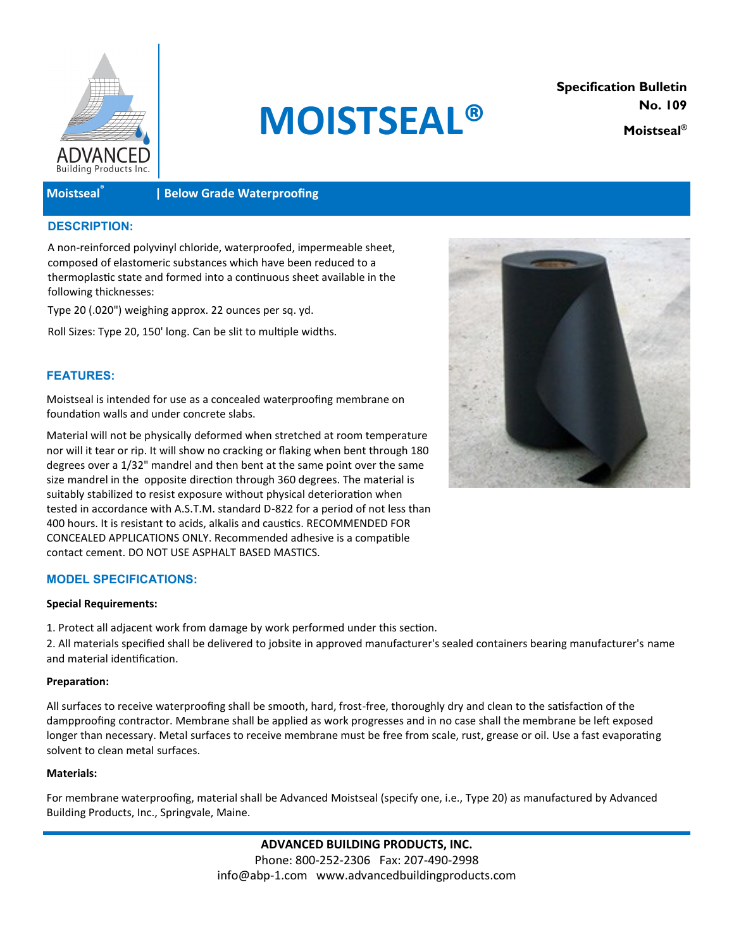

# **MOISTSEAL®**

**Specification Bulletin No. 109 Moistseal®**

# **Moistseal®**

# **| Below Grade Waterproofing**

# **DESCRIPTION:**

A non-reinforced polyvinyl chloride, waterproofed, impermeable sheet, composed of elastomeric substances which have been reduced to a thermoplastic state and formed into a continuous sheet available in the following thicknesses:

Type 20 (.020") weighing approx. 22 ounces per sq. yd.

Roll Sizes: Type 20, 150' long. Can be slit to multiple widths.

## **FEATURES:**

Moistseal is intended for use as a concealed waterproofing membrane on foundation walls and under concrete slabs.

Material will not be physically deformed when stretched at room temperature nor will it tear or rip. It will show no cracking or flaking when bent through 180 degrees over a 1/32" mandrel and then bent at the same point over the same size mandrel in the opposite direction through 360 degrees. The material is suitably stabilized to resist exposure without physical deterioration when tested in accordance with A.S.T.M. standard D-822 for a period of not less than 400 hours. It is resistant to acids, alkalis and caustics. RECOMMENDED FOR CONCEALED APPLICATIONS ONLY. Recommended adhesive is a compatible contact cement. DO NOT USE ASPHALT BASED MASTICS.



# **MODEL SPECIFICATIONS:**

#### **Special Requirements:**

1. Protect all adjacent work from damage by work performed under this section.

2. All materials specified shall be delivered to jobsite in approved manufacturer's sealed containers bearing manufacturer's name and material identification.

#### **Preparation:**

All surfaces to receive waterproofing shall be smooth, hard, frost-free, thoroughly dry and clean to the satisfaction of the dampproofing contractor. Membrane shall be applied as work progresses and in no case shall the membrane be left exposed longer than necessary. Metal surfaces to receive membrane must be free from scale, rust, grease or oil. Use a fast evaporating solvent to clean metal surfaces.

#### **Materials:**

For membrane waterproofing, material shall be Advanced Moistseal (specify one, i.e., Type 20) as manufactured by Advanced Building Products, Inc., Springvale, Maine.